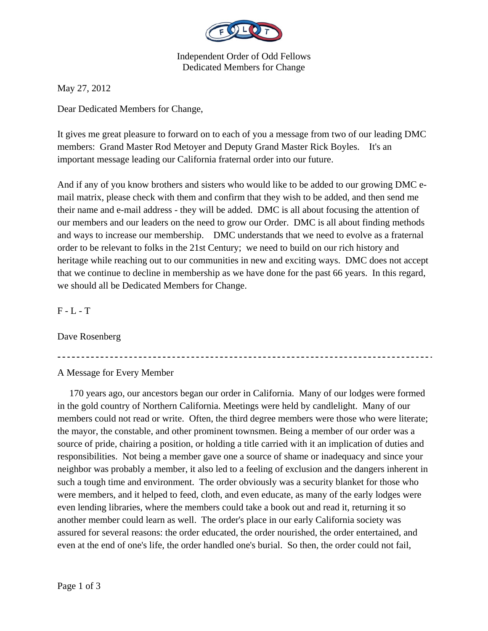

Independent Order of Odd Fellows Dedicated Members for Change

May 27, 2012

Dear Dedicated Members for Change,

It gives me great pleasure to forward on to each of you a message from two of our leading DMC members: Grand Master Rod Metoyer and Deputy Grand Master Rick Boyles. It's an important message leading our California fraternal order into our future.

And if any of you know brothers and sisters who would like to be added to our growing DMC email matrix, please check with them and confirm that they wish to be added, and then send me their name and e-mail address - they will be added. DMC is all about focusing the attention of our members and our leaders on the need to grow our Order. DMC is all about finding methods and ways to increase our membership. DMC understands that we need to evolve as a fraternal order to be relevant to folks in the 21st Century; we need to build on our rich history and heritage while reaching out to our communities in new and exciting ways. DMC does not accept that we continue to decline in membership as we have done for the past 66 years. In this regard, we should all be Dedicated Members for Change.

 $F - L - T$ 

Dave Rosenberg

A Message for Every Member

 170 years ago, our ancestors began our order in California. Many of our lodges were formed in the gold country of Northern California. Meetings were held by candlelight. Many of our members could not read or write. Often, the third degree members were those who were literate; the mayor, the constable, and other prominent townsmen. Being a member of our order was a source of pride, chairing a position, or holding a title carried with it an implication of duties and responsibilities. Not being a member gave one a source of shame or inadequacy and since your neighbor was probably a member, it also led to a feeling of exclusion and the dangers inherent in such a tough time and environment. The order obviously was a security blanket for those who were members, and it helped to feed, cloth, and even educate, as many of the early lodges were even lending libraries, where the members could take a book out and read it, returning it so another member could learn as well. The order's place in our early California society was assured for several reasons: the order educated, the order nourished, the order entertained, and even at the end of one's life, the order handled one's burial. So then, the order could not fail,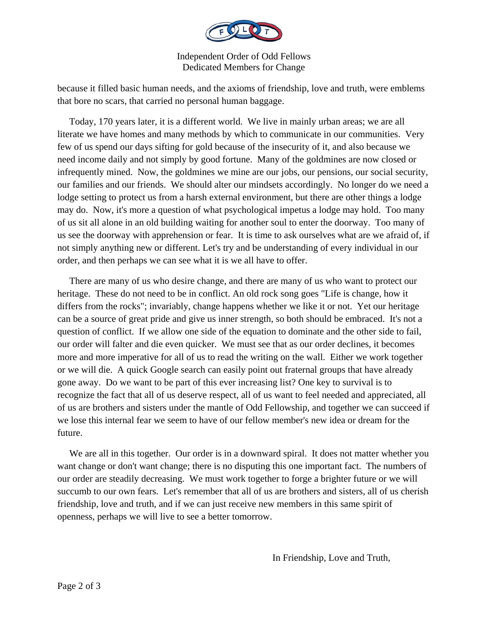

Independent Order of Odd Fellows Dedicated Members for Change

because it filled basic human needs, and the axioms of friendship, love and truth, were emblems that bore no scars, that carried no personal human baggage.

 Today, 170 years later, it is a different world. We live in mainly urban areas; we are all literate we have homes and many methods by which to communicate in our communities. Very few of us spend our days sifting for gold because of the insecurity of it, and also because we need income daily and not simply by good fortune. Many of the goldmines are now closed or infrequently mined. Now, the goldmines we mine are our jobs, our pensions, our social security, our families and our friends. We should alter our mindsets accordingly. No longer do we need a lodge setting to protect us from a harsh external environment, but there are other things a lodge may do. Now, it's more a question of what psychological impetus a lodge may hold. Too many of us sit all alone in an old building waiting for another soul to enter the doorway. Too many of us see the doorway with apprehension or fear. It is time to ask ourselves what are we afraid of, if not simply anything new or different. Let's try and be understanding of every individual in our order, and then perhaps we can see what it is we all have to offer.

 There are many of us who desire change, and there are many of us who want to protect our heritage. These do not need to be in conflict. An old rock song goes "Life is change, how it differs from the rocks"; invariably, change happens whether we like it or not. Yet our heritage can be a source of great pride and give us inner strength, so both should be embraced. It's not a question of conflict. If we allow one side of the equation to dominate and the other side to fail, our order will falter and die even quicker. We must see that as our order declines, it becomes more and more imperative for all of us to read the writing on the wall. Either we work together or we will die. A quick Google search can easily point out fraternal groups that have already gone away. Do we want to be part of this ever increasing list? One key to survival is to recognize the fact that all of us deserve respect, all of us want to feel needed and appreciated, all of us are brothers and sisters under the mantle of Odd Fellowship, and together we can succeed if we lose this internal fear we seem to have of our fellow member's new idea or dream for the future.

We are all in this together. Our order is in a downward spiral. It does not matter whether you want change or don't want change; there is no disputing this one important fact. The numbers of our order are steadily decreasing. We must work together to forge a brighter future or we will succumb to our own fears. Let's remember that all of us are brothers and sisters, all of us cherish friendship, love and truth, and if we can just receive new members in this same spirit of openness, perhaps we will live to see a better tomorrow.

In Friendship, Love and Truth,